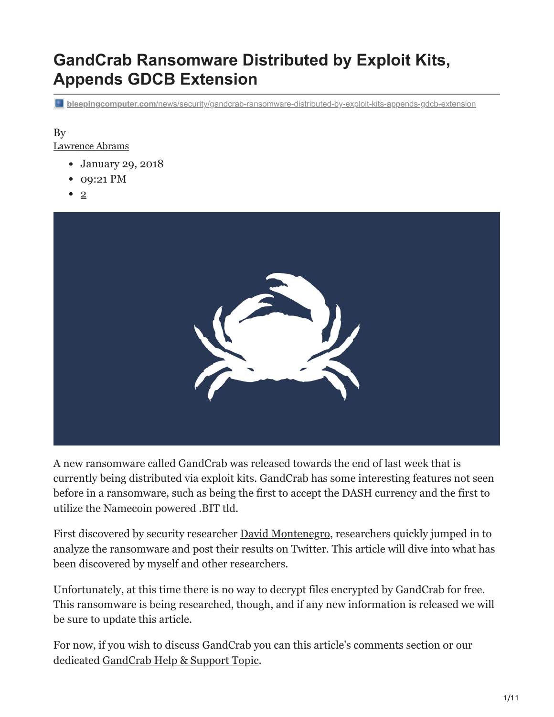# **GandCrab Ransomware Distributed by Exploit Kits, Appends GDCB Extension**

**bleepingcomputer.com**[/news/security/gandcrab-ransomware-distributed-by-exploit-kits-appends-gdcb-extension](https://www.bleepingcomputer.com/news/security/gandcrab-ransomware-distributed-by-exploit-kits-appends-gdcb-extension/)

#### By [Lawrence Abrams](https://www.bleepingcomputer.com/author/lawrence-abrams/)

- January 29, 2018
- 09:21 PM
- $\bullet$  [2](#page-10-0)



A new ransomware called GandCrab was released towards the end of last week that is currently being distributed via exploit kits. GandCrab has some interesting features not seen before in a ransomware, such as being the first to accept the DASH currency and the first to utilize the Namecoin powered .BIT tld.

First discovered by security researcher [David Montenegro](https://twitter.com/CryptoInsane), researchers quickly jumped in to analyze the ransomware and post their results on Twitter. This article will dive into what has been discovered by myself and other researchers.

Unfortunately, at this time there is no way to decrypt files encrypted by GandCrab for free. This ransomware is being researched, though, and if any new information is released we will be sure to update this article.

For now, if you wish to discuss GandCrab you can this article's comments section or our dedicated [GandCrab Help & Support Topic.](https://www.bleepingcomputer.com/forums/t/669484/gandcrab-ransomware-help-support-topic-gdcb-gdcb-decrypttxt/)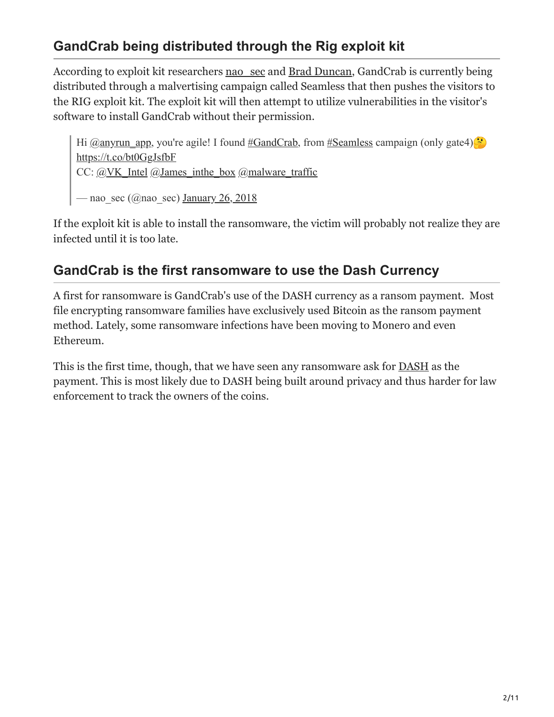## **GandCrab being distributed through the Rig exploit kit**

According to exploit kit researchers nao sec and [Brad Duncan](https://twitter.com/malware_traffic), GandCrab is currently being distributed through a malvertising campaign called Seamless that then pushes the visitors to the RIG exploit kit. The exploit kit will then attempt to utilize vulnerabilities in the visitor's software to install GandCrab without their permission.

Hi [@anyrun\\_app](https://twitter.com/anyrun_app?ref_src=twsrc%5Etfw), you're agile! I found [#GandCrab](https://twitter.com/hashtag/GandCrab?src=hash&ref_src=twsrc%5Etfw), from [#Seamless](https://twitter.com/hashtag/Seamless?src=hash&ref_src=twsrc%5Etfw) campaign (only gate4) $\ddot{\bullet}$ <https://t.co/bt0GgJsfbF> CC:  $(a)$ VK Intel  $(a)$ James inthe box  $(a)$ malware traffic  $-$  nao\_sec ( $@$ nao\_sec) [January 26, 2018](https://twitter.com/nao_sec/status/956819846699696128?ref_src=twsrc%5Etfw)

If the exploit kit is able to install the ransomware, the victim will probably not realize they are infected until it is too late.

## **GandCrab is the first ransomware to use the Dash Currency**

A first for ransomware is GandCrab's use of the DASH currency as a ransom payment. Most file encrypting ransomware families have exclusively used Bitcoin as the ransom payment method. Lately, some ransomware infections have been moving to Monero and even Ethereum.

This is the first time, though, that we have seen any ransomware ask for [DASH](https://en.wikipedia.org/wiki/Dash_(cryptocurrency)) as the payment. This is most likely due to DASH being built around privacy and thus harder for law enforcement to track the owners of the coins.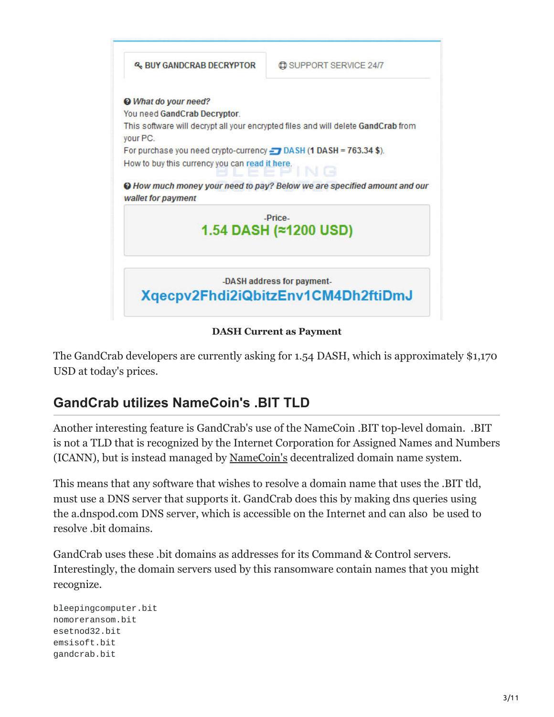

**DASH Current as Payment**

The GandCrab developers are currently asking for 1.54 DASH, which is approximately \$1,170 USD at today's prices.

## **GandCrab utilizes NameCoin's .BIT TLD**

Another interesting feature is GandCrab's use of the NameCoin .BIT top-level domain. .BIT is not a TLD that is recognized by the Internet Corporation for Assigned Names and Numbers (ICANN), but is instead managed by [NameCoin's](https://namecoin.org/) decentralized domain name system.

This means that any software that wishes to resolve a domain name that uses the .BIT tld, must use a DNS server that supports it. GandCrab does this by making dns queries using the a.dnspod.com DNS server, which is accessible on the Internet and can also be used to resolve .bit domains.

GandCrab uses these .bit domains as addresses for its Command & Control servers. Interestingly, the domain servers used by this ransomware contain names that you might recognize.

bleepingcomputer.bit nomoreransom.bit esetnod32.bit emsisoft.bit gandcrab.bit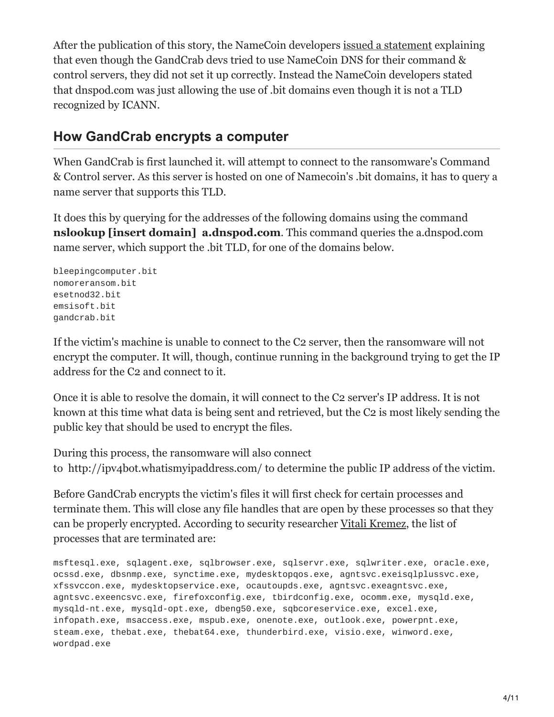After the publication of this story, the NameCoin developers [issued a statement](https://www.namecoin.org/2018/01/30/recent-reports-ransomware-using-namecoin-missing-real-story.html) explaining that even though the GandCrab devs tried to use NameCoin DNS for their command & control servers, they did not set it up correctly. Instead the NameCoin developers stated that dnspod.com was just allowing the use of .bit domains even though it is not a TLD recognized by ICANN.

### **How GandCrab encrypts a computer**

When GandCrab is first launched it. will attempt to connect to the ransomware's Command & Control server. As this server is hosted on one of Namecoin's .bit domains, it has to query a name server that supports this TLD.

It does this by querying for the addresses of the following domains using the command **nslookup [insert domain] a.dnspod.com**. This command queries the a.dnspod.com name server, which support the .bit TLD, for one of the domains below.

```
bleepingcomputer.bit
nomoreransom.bit
esetnod32.bit
emsisoft.bit
gandcrab.bit
```
If the victim's machine is unable to connect to the C2 server, then the ransomware will not encrypt the computer. It will, though, continue running in the background trying to get the IP address for the C2 and connect to it.

Once it is able to resolve the domain, it will connect to the C2 server's IP address. It is not known at this time what data is being sent and retrieved, but the C2 is most likely sending the public key that should be used to encrypt the files.

During this process, the ransomware will also connect to http://ipv4bot.whatismyipaddress.com/ to determine the public IP address of the victim.

Before GandCrab encrypts the victim's files it will first check for certain processes and terminate them. This will close any file handles that are open by these processes so that they can be properly encrypted. According to security researcher [Vitali Kremez,](https://twitter.com/VK_Intel) the list of processes that are terminated are:

msftesql.exe, sqlagent.exe, sqlbrowser.exe, sqlservr.exe, sqlwriter.exe, oracle.exe, ocssd.exe, dbsnmp.exe, synctime.exe, mydesktopqos.exe, agntsvc.exeisqlplussvc.exe, xfssvccon.exe, mydesktopservice.exe, ocautoupds.exe, agntsvc.exeagntsvc.exe, agntsvc.exeencsvc.exe, firefoxconfig.exe, tbirdconfig.exe, ocomm.exe, mysqld.exe, mysqld-nt.exe, mysqld-opt.exe, dbeng50.exe, sqbcoreservice.exe, excel.exe, infopath.exe, msaccess.exe, mspub.exe, onenote.exe, outlook.exe, powerpnt.exe, steam.exe, thebat.exe, thebat64.exe, thunderbird.exe, visio.exe, winword.exe, wordpad.exe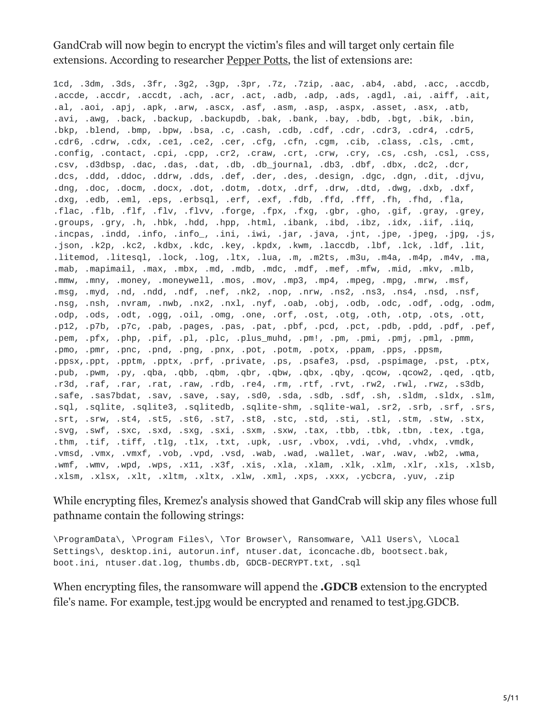GandCrab will now begin to encrypt the victim's files and will target only certain file extensions. According to researcher [Pepper Potts](https://twitter.com/P3pperP0tts), the list of extensions are:

1cd, .3dm, .3ds, .3fr, .3g2, .3gp, .3pr, .7z, .7zip, .aac, .ab4, .abd, .acc, .accdb, .accde, .accdr, .accdt, .ach, .acr, .act, .adb, .adp, .ads, .agdl, .ai, .aiff, .ait, .al, .aoi, .apj, .apk, .arw, .ascx, .asf, .asm, .asp, .aspx, .asset, .asx, .atb, .avi, .awg, .back, .backup, .backupdb, .bak, .bank, .bay, .bdb, .bgt, .bik, .bin, .bkp, .blend, .bmp, .bpw, .bsa, .c, .cash, .cdb, .cdf, .cdr, .cdr3, .cdr4, .cdr5, .cdr6, .cdrw, .cdx, .ce1, .ce2, .cer, .cfg, .cfn, .cgm, .cib, .class, .cls, .cmt, .config, .contact, .cpi, .cpp, .cr2, .craw, .crt, .crw, .cry, .cs, .csh, .csl, .css, .csv, .d3dbsp, .dac, .das, .dat, .db, .db\_journal, .db3, .dbf, .dbx, .dc2, .dcr, .dcs, .ddd, .ddoc, .ddrw, .dds, .def, .der, .des, .design, .dgc, .dgn, .dit, .djvu, .dng, .doc, .docm, .docx, .dot, .dotm, .dotx, .drf, .drw, .dtd, .dwg, .dxb, .dxf, .dxg, .edb, .eml, .eps, .erbsql, .erf, .exf, .fdb, .ffd, .fff, .fh, .fhd, .fla, .flac, .flb, .flf, .flv, .flvv, .forge, .fpx, .fxg, .gbr, .gho, .gif, .gray, .grey, .groups, .gry, .h, .hbk, .hdd, .hpp, .html, .ibank, .ibd, .ibz, .idx, .iif, .iiq, .incpas, .indd, .info, .info\_, .ini, .iwi, .jar, .java, .jnt, .jpe, .jpeg, .jpg, .js, .json, .k2p, .kc2, .kdbx, .kdc, .key, .kpdx, .kwm, .laccdb, .lbf, .lck, .ldf, .lit, .litemod, .litesql, .lock, .log, .ltx, .lua, .m, .m2ts, .m3u, .m4a, .m4p, .m4v, .ma, .mab, .mapimail, .max, .mbx, .md, .mdb, .mdc, .mdf, .mef, .mfw, .mid, .mkv, .mlb, .mmw, .mny, .money, .moneywell, .mos, .mov, .mp3, .mp4, .mpeg, .mpg, .mrw, .msf, .msg, .myd, .nd, .ndd, .ndf, .nef, .nk2, .nop, .nrw, .ns2, .ns3, .ns4, .nsd, .nsf, .nsg, .nsh, .nvram, .nwb, .nx2, .nxl, .nyf, .oab, .obj, .odb, .odc, .odf, .odg, .odm, .odp, .ods, .odt, .ogg, .oil, .omg, .one, .orf, .ost, .otg, .oth, .otp, .ots, .ott, .p12, .p7b, .p7c, .pab, .pages, .pas, .pat, .pbf, .pcd, .pct, .pdb, .pdd, .pdf, .pef, .pem, .pfx, .php, .pif, .pl, .plc, .plus\_muhd, .pm!, .pm, .pmi, .pmj, .pml, .pmm, .pmo, .pmr, .pnc, .pnd, .png, .pnx, .pot, .potm, .potx, .ppam, .pps, .ppsm, .ppsx,.ppt, .pptm, .pptx, .prf, .private, .ps, .psafe3, .psd, .pspimage, .pst, .ptx, .pub, .pwm, .py, .qba, .qbb, .qbm, .qbr, .qbw, .qbx, .qby, .qcow, .qcow2, .qed, .qtb, .r3d, .raf, .rar, .rat, .raw, .rdb, .re4, .rm, .rtf, .rvt, .rw2, .rwl, .rwz, .s3db, .safe, .sas7bdat, .sav, .save, .say, .sd0, .sda, .sdb, .sdf, .sh, .sldm, .sldx, .slm, .sql, .sqlite, .sqlite3, .sqlitedb, .sqlite-shm, .sqlite-wal, .sr2, .srb, .srf, .srs, .srt, .srw, .st4, .st5, .st6, .st7, .st8, .stc, .std, .sti, .stl, .stm, .stw, .stx, .svg, .swf, .sxc, .sxd, .sxg, .sxi, .sxm, .sxw, .tax, .tbb, .tbk, .tbn, .tex, .tga, .thm, .tif, .tiff, .tlg, .tlx, .txt, .upk, .usr, .vbox, .vdi, .vhd, .vhdx, .vmdk, .vmsd, .vmx, .vmxf, .vob, .vpd, .vsd, .wab, .wad, .wallet, .war, .wav, .wb2, .wma, .wmf, .wmv, .wpd, .wps, .x11, .x3f, .xis, .xla, .xlam, .xlk, .xlm, .xlr, .xls, .xlsb, .xlsm, .xlsx, .xlt, .xltm, .xltx, .xlw, .xml, .xps, .xxx, .ycbcra, .yuv, .zip

While encrypting files, Kremez's analysis showed that GandCrab will skip any files whose full pathname contain the following strings:

\ProgramData\, \Program Files\, \Tor Browser\, Ransomware, \All Users\, \Local Settings\, desktop.ini, autorun.inf, ntuser.dat, iconcache.db, bootsect.bak, boot.ini, ntuser.dat.log, thumbs.db, GDCB-DECRYPT.txt, .sql

When encrypting files, the ransomware will append the **.GDCB** extension to the encrypted file's name. For example, test.jpg would be encrypted and renamed to test.jpg.GDCB.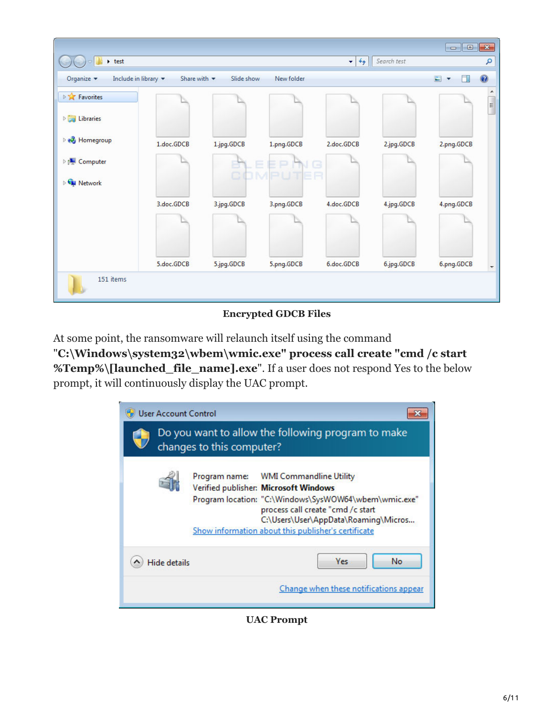|                                                       |                                 |            |                      |              |             | $\begin{array}{c c c c c} \hline \multicolumn{3}{c }{\mathbf{C}} & \multicolumn{3}{c }{\mathbf{C}} & \multicolumn{3}{c }{\mathbf{X}} \end{array}$ |                          |
|-------------------------------------------------------|---------------------------------|------------|----------------------|--------------|-------------|---------------------------------------------------------------------------------------------------------------------------------------------------|--------------------------|
| $\rightarrow$ test                                    |                                 |            |                      | $^{4+}$<br>٠ | Search test |                                                                                                                                                   | ٩                        |
| Include in library $\blacktriangledown$<br>Organize v | Share with $\blacktriangledown$ | Slide show | New folder           |              |             | $\blacksquare$<br>FI<br>$\overline{\phantom{a}}$                                                                                                  | $\circledcirc$           |
| <b>DET</b> Favorites                                  |                                 |            |                      |              |             |                                                                                                                                                   | ▲<br>$\equiv$            |
| $\triangleright$ $\blacksquare$ Libraries             |                                 |            |                      |              |             |                                                                                                                                                   |                          |
| <b>B</b> Homegroup                                    | 1.doc.GDCB                      | 1.jpg.GDCB | 1.png.GDCB           | 2.doc.GDCB   | 2.jpg.GDCB  | 2.png.GDCB                                                                                                                                        |                          |
| De Computer                                           |                                 |            | ⊨<br><b>COMPUTER</b> | G            |             |                                                                                                                                                   |                          |
| <b>Cu Network</b>                                     |                                 |            |                      |              |             |                                                                                                                                                   |                          |
|                                                       | 3.doc.GDCB                      | 3.jpg.GDCB | 3.png.GDCB           | 4.doc.GDCB   | 4.jpg.GDCB  | 4.png.GDCB                                                                                                                                        |                          |
|                                                       |                                 |            |                      |              |             |                                                                                                                                                   |                          |
|                                                       | 5.doc.GDCB                      | 5.jpg.GDCB | 5.png.GDCB           | 6.doc.GDCB   | 6.jpg.GDCB  | 6.png.GDCB                                                                                                                                        | $\overline{\phantom{a}}$ |
| 151 items                                             |                                 |            |                      |              |             |                                                                                                                                                   |                          |

#### **Encrypted GDCB Files**

At some point, the ransomware will relaunch itself using the command

"**C:\Windows\system32\wbem\wmic.exe" process call create "cmd /c start %Temp%\[launched\_file\_name].exe**". If a user does not respond Yes to the below prompt, it will continuously display the UAC prompt.

| <b>User Account Control</b> | Do you want to allow the following program to make                                                                                                                                                                                                                                                       |
|-----------------------------|----------------------------------------------------------------------------------------------------------------------------------------------------------------------------------------------------------------------------------------------------------------------------------------------------------|
|                             | changes to this computer?<br>Program name: WMI Commandline Utility<br>Verified publisher: Microsoft Windows<br>Program location: "C:\Windows\SysWOW64\wbem\wmic.exe"<br>process call create "cmd /c start<br>C:\Users\User\AppData\Roaming\Micros<br>Show information about this publisher's certificate |
| <b>Hide details</b>         | Yes<br>No<br>Change when these notifications appear                                                                                                                                                                                                                                                      |

**UAC Prompt**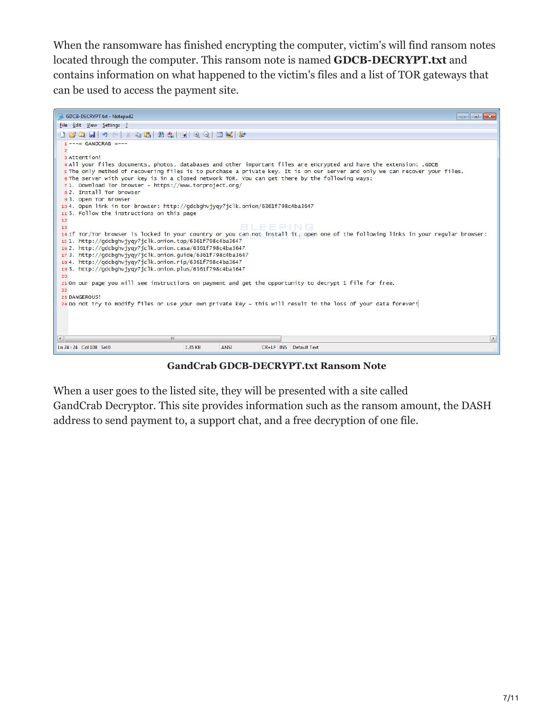When the ransomware has finished encrypting the computer, victim's will find ransom notes located through the computer. This ransom note is named **GDCB-DECRYPT.txt** and contains information on what happened to the victim's files and a list of TOR gateways that can be used to access the payment site.



**GandCrab GDCB-DECRYPT.txt Ransom Note**

When a user goes to the listed site, they will be presented with a site called

GandCrab Decryptor. This site provides information such as the ransom amount, the DASH address to send payment to, a support chat, and a free decryption of one file.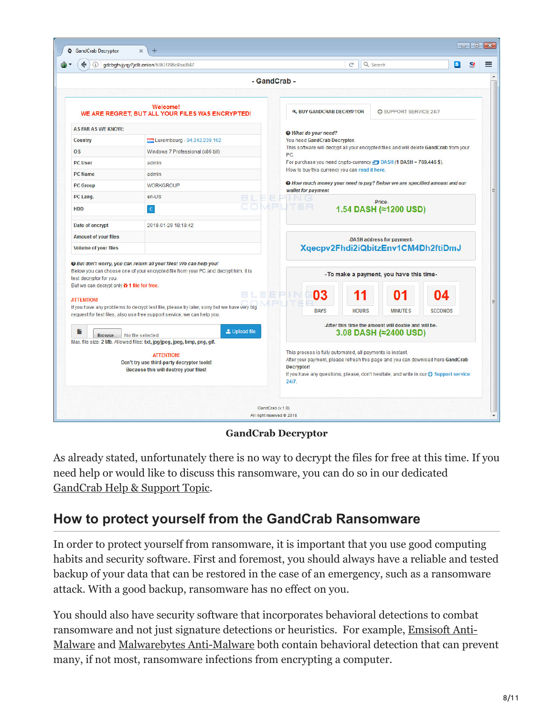|                                                                                                                                                                                                                                                | gdcbghvjyqy7jclk.onion/6361f798c4ba3647                                                                                                                                |                                                                                                                                                                                                                                                              | $\mathbb{C}^4$ | Q Search                                                                      |                |  |  |
|------------------------------------------------------------------------------------------------------------------------------------------------------------------------------------------------------------------------------------------------|------------------------------------------------------------------------------------------------------------------------------------------------------------------------|--------------------------------------------------------------------------------------------------------------------------------------------------------------------------------------------------------------------------------------------------------------|----------------|-------------------------------------------------------------------------------|----------------|--|--|
|                                                                                                                                                                                                                                                |                                                                                                                                                                        | - GandCrab -                                                                                                                                                                                                                                                 |                |                                                                               |                |  |  |
|                                                                                                                                                                                                                                                |                                                                                                                                                                        |                                                                                                                                                                                                                                                              |                |                                                                               |                |  |  |
| <b>Welcome!</b><br>WE ARE REGRET, BUT ALL YOUR FILES WAS ENCRYPTED!                                                                                                                                                                            |                                                                                                                                                                        | <b>4. BUY GANDCRAB DECRYPTOR</b><br><b>CO</b> SUPPORT SERVICE 24/7<br>What do your need?                                                                                                                                                                     |                |                                                                               |                |  |  |
| <b>AS FAR AS WE KNOW:</b>                                                                                                                                                                                                                      |                                                                                                                                                                        |                                                                                                                                                                                                                                                              |                |                                                                               |                |  |  |
| Luxembourg - 94.242.239.162<br><b>Country</b>                                                                                                                                                                                                  |                                                                                                                                                                        | You need GandCrab Decryptor.                                                                                                                                                                                                                                 |                |                                                                               |                |  |  |
| <b>OS</b>                                                                                                                                                                                                                                      | Windows 7 Professional (x86 bit)                                                                                                                                       | This software will decrypt all your encrypted files and will delete GandCrab from your<br>PC.                                                                                                                                                                |                |                                                                               |                |  |  |
| <b>PC User</b>                                                                                                                                                                                                                                 | admin                                                                                                                                                                  | For purchase you need crypto-currency DASH (1 DASH = 769.446 \$).                                                                                                                                                                                            |                |                                                                               |                |  |  |
| <b>PC Name</b>                                                                                                                                                                                                                                 | admin                                                                                                                                                                  | How to buy this currency you can read it here.                                                                                                                                                                                                               |                |                                                                               |                |  |  |
| <b>PC Group</b>                                                                                                                                                                                                                                | <b>WORKGROUP</b>                                                                                                                                                       | <sup>O</sup> How much money your need to pay? Below we are specified amount and our<br>wallet for payment                                                                                                                                                    |                |                                                                               |                |  |  |
| PC Lang.                                                                                                                                                                                                                                       | en-US                                                                                                                                                                  |                                                                                                                                                                                                                                                              |                | -Price-                                                                       |                |  |  |
| <b>HDD</b>                                                                                                                                                                                                                                     | $\overline{c}$                                                                                                                                                         | PUTER                                                                                                                                                                                                                                                        |                | 1.54 DASH (≈1200 USD)                                                         |                |  |  |
| Date of encrypt                                                                                                                                                                                                                                | 2018-01-29 18:18:42                                                                                                                                                    |                                                                                                                                                                                                                                                              |                |                                                                               |                |  |  |
| <b>Amount of your files</b>                                                                                                                                                                                                                    |                                                                                                                                                                        |                                                                                                                                                                                                                                                              |                | -DASH address for payment-                                                    |                |  |  |
| <b>Volume of your files</b>                                                                                                                                                                                                                    |                                                                                                                                                                        |                                                                                                                                                                                                                                                              |                | Xqecpv2Fhdi2iQbitzEnv1CM4Dh2ftiDmJ                                            |                |  |  |
| <sup>O</sup> But don't worry, you can return all your files! We can help you!<br>Below you can choose one of your encrypted file from your PC and decrypt him, it is<br>test decryptor for you.<br>But we can decrypt only in 1 file for free. |                                                                                                                                                                        | -To make a payment, you have this time-                                                                                                                                                                                                                      |                |                                                                               |                |  |  |
| <b>ATTENTION!</b>                                                                                                                                                                                                                              |                                                                                                                                                                        | 03                                                                                                                                                                                                                                                           |                | በ1                                                                            | Ω4             |  |  |
|                                                                                                                                                                                                                                                | If you have any problems to decrypt test file, please try later, sorry but we have very big<br>request for test files, also use free support service, we can help you. | <b>DAYS</b>                                                                                                                                                                                                                                                  | <b>HOURS</b>   | <b>MINUTES</b>                                                                | <b>SECONDS</b> |  |  |
| в<br>Browse.                                                                                                                                                                                                                                   | L Upload file<br>No file selected.<br>Max. file size: 2 Mb. Allowed files: txt, jpg/jpeg, jpeg, bmp, png, gif.                                                         |                                                                                                                                                                                                                                                              |                | -After this time the amount will double and will be-<br>3.08 DASH (≈2400 USD) |                |  |  |
| <b>ATTENTION!</b><br>Don't try use third-party decryptor tools!<br>Because this will destroy your files!                                                                                                                                       |                                                                                                                                                                        | This process is fully automated, all payments is instant.<br>After your payment, please refresh this page and you can download here GandCrab<br>Decryptor!<br>If you have any questions, please, don't hesitate, and write in our @ Support service<br>24/7. |                |                                                                               |                |  |  |

**GandCrab Decryptor**

As already stated, unfortunately there is no way to decrypt the files for free at this time. If you need help or would like to discuss this ransomware, you can do so in our dedicated [GandCrab Help & Support Topic.](https://www.bleepingcomputer.com/forums/t/669484/gandcrab-ransomware-help-support-topic-gdcb-gdcb-decrypttxt/)

## **How to protect yourself from the GandCrab Ransomware**

In order to protect yourself from ransomware, it is important that you use good computing habits and security software. First and foremost, you should always have a reliable and tested backup of your data that can be restored in the case of an emergency, such as a ransomware attack. With a good backup, ransomware has no effect on you.

You should also have security software that incorporates behavioral detections to combat ransomware and not just signature detections or heuristics. For example, Emsisoft Anti-[Malware and Malwarebytes Anti-Malware both contain behavioral detection that can pre](https://www.bleepingcomputer.com/download/emsisoft-anti-malware/)vent many, if not most, ransomware infections from encrypting a computer.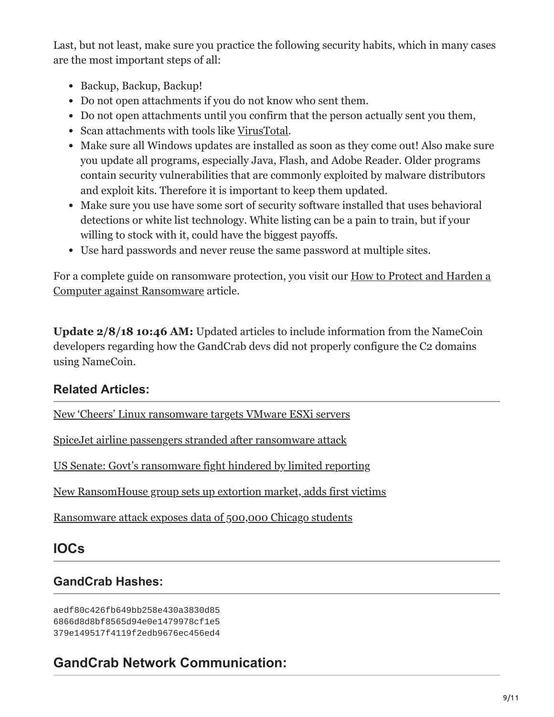Last, but not least, make sure you practice the following security habits, which in many cases are the most important steps of all:

- Backup, Backup, Backup!
- Do not open attachments if you do not know who sent them.
- Do not open attachments until you confirm that the person actually sent you them,
- Scan attachments with tools like [VirusTotal.](https://www.virustotal.com/#/home/upload)
- Make sure all Windows updates are installed as soon as they come out! Also make sure you update all programs, especially Java, Flash, and Adobe Reader. Older programs contain security vulnerabilities that are commonly exploited by malware distributors and exploit kits. Therefore it is important to keep them updated.
- Make sure you use have some sort of security software installed that uses behavioral detections or white list technology. White listing can be a pain to train, but if your willing to stock with it, could have the biggest payoffs.
- Use hard passwords and never reuse the same password at multiple sites.

[For a complete guide on ransomware protection, you visit our How to Protect and Harden a](https://www.bleepingcomputer.com/news/security/how-to-protect-and-harden-a-computer-against-ransomware/) Computer against Ransomware article.

**Update 2/8/18 10:46 AM:** Updated articles to include information from the NameCoin developers regarding how the GandCrab devs did not properly configure the C2 domains using NameCoin.

### **Related Articles:**

[New 'Cheers' Linux ransomware targets VMware ESXi servers](https://www.bleepingcomputer.com/news/security/new-cheers-linux-ransomware-targets-vmware-esxi-servers/)

[SpiceJet airline passengers stranded after ransomware attack](https://www.bleepingcomputer.com/news/security/spicejet-airline-passengers-stranded-after-ransomware-attack/)

[US Senate: Govt's ransomware fight hindered by limited reporting](https://www.bleepingcomputer.com/news/security/us-senate-govt-s-ransomware-fight-hindered-by-limited-reporting/)

[New RansomHouse group sets up extortion market, adds first victims](https://www.bleepingcomputer.com/news/security/new-ransomhouse-group-sets-up-extortion-market-adds-first-victims/)

[Ransomware attack exposes data of 500,000 Chicago students](https://www.bleepingcomputer.com/news/security/ransomware-attack-exposes-data-of-500-000-chicago-students/)

## **IOCs**

## **GandCrab Hashes:**

aedf80c426fb649bb258e430a3830d85 6866d8d8bf8565d94e0e1479978cf1e5 379e149517f4119f2edb9676ec456ed4

## **GandCrab Network Communication:**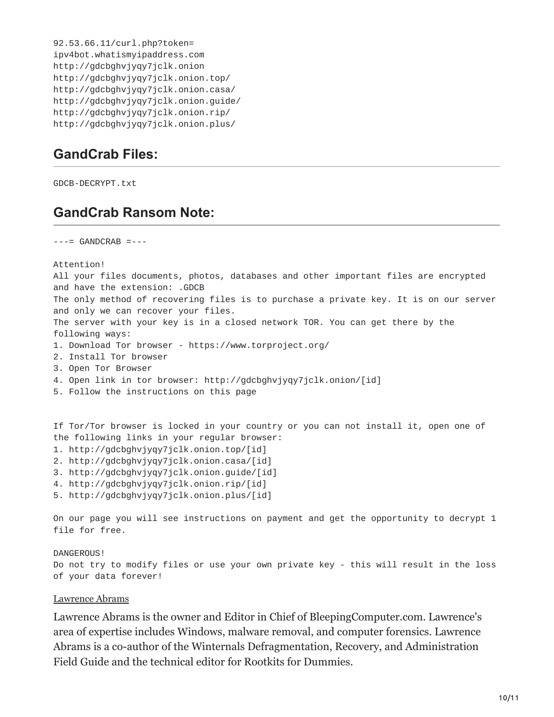```
92.53.66.11/curl.php?token=
ipv4bot.whatismyipaddress.com
http://gdcbghvjyqy7jclk.onion
http://gdcbghvjyqy7jclk.onion.top/
http://gdcbghvjyqy7jclk.onion.casa/
http://gdcbghvjyqy7jclk.onion.guide/
http://gdcbghvjyqy7jclk.onion.rip/
http://gdcbghvjyqy7jclk.onion.plus/
```
### **GandCrab Files:**

GDCB-DECRYPT.txt

#### **GandCrab Ransom Note:**

 $---$  GANDCRAB  $---$ 

Attention!

All your files documents, photos, databases and other important files are encrypted and have the extension: .GDCB The only method of recovering files is to purchase a private key. It is on our server and only we can recover your files. The server with your key is in a closed network TOR. You can get there by the following ways: 1. Download Tor browser - https://www.torproject.org/ 2. Install Tor browser 3. Open Tor Browser 4. Open link in tor browser: http://gdcbghvjyqy7jclk.onion/[id] 5. Follow the instructions on this page

If Tor/Tor browser is locked in your country or you can not install it, open one of the following links in your regular browser:

- 1. http://gdcbghvjyqy7jclk.onion.top/[id]
- 2. http://gdcbghvjyqy7jclk.onion.casa/[id]
- 3. http://gdcbghvjyqy7jclk.onion.guide/[id]
- 4. http://gdcbghvjyqy7jclk.onion.rip/[id]
- 5. http://gdcbghvjyqy7jclk.onion.plus/[id]

On our page you will see instructions on payment and get the opportunity to decrypt 1 file for free.

DANGEROUS!

Do not try to modify files or use your own private key - this will result in the loss of your data forever!

#### [Lawrence Abrams](https://www.bleepingcomputer.com/author/lawrence-abrams/)

Lawrence Abrams is the owner and Editor in Chief of BleepingComputer.com. Lawrence's area of expertise includes Windows, malware removal, and computer forensics. Lawrence Abrams is a co-author of the Winternals Defragmentation, Recovery, and Administration Field Guide and the technical editor for Rootkits for Dummies.